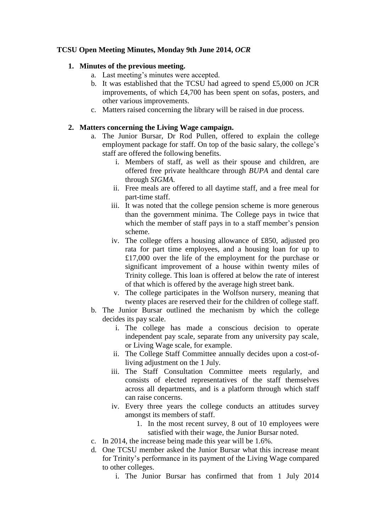# **TCSU Open Meeting Minutes, Monday 9th June 2014,** *OCR*

## **1. Minutes of the previous meeting.**

- a. Last meeting's minutes were accepted.
- b. It was established that the TCSU had agreed to spend £5,000 on JCR improvements, of which £4,700 has been spent on sofas, posters, and other various improvements.
- c. Matters raised concerning the library will be raised in due process.

## **2. Matters concerning the Living Wage campaign.**

- a. The Junior Bursar, Dr Rod Pullen, offered to explain the college employment package for staff. On top of the basic salary, the college's staff are offered the following benefits.
	- i. Members of staff, as well as their spouse and children, are offered free private healthcare through *BUPA* and dental care through *SIGMA.*
	- ii. Free meals are offered to all daytime staff, and a free meal for part-time staff.
	- iii. It was noted that the college pension scheme is more generous than the government minima. The College pays in twice that which the member of staff pays in to a staff member's pension scheme.
	- iv. The college offers a housing allowance of £850, adjusted pro rata for part time employees, and a housing loan for up to £17,000 over the life of the employment for the purchase or significant improvement of a house within twenty miles of Trinity college. This loan is offered at below the rate of interest of that which is offered by the average high street bank.
	- v. The college participates in the Wolfson nursery, meaning that twenty places are reserved their for the children of college staff.
- b. The Junior Bursar outlined the mechanism by which the college decides its pay scale.
	- i. The college has made a conscious decision to operate independent pay scale, separate from any university pay scale, or Living Wage scale, for example.
	- ii. The College Staff Committee annually decides upon a cost-ofliving adjustment on the 1 July.
	- iii. The Staff Consultation Committee meets regularly, and consists of elected representatives of the staff themselves across all departments, and is a platform through which staff can raise concerns.
	- iv. Every three years the college conducts an attitudes survey amongst its members of staff.
		- 1. In the most recent survey, 8 out of 10 employees were satisfied with their wage, the Junior Bursar noted.
- c. In 2014, the increase being made this year will be 1.6%.
- d. One TCSU member asked the Junior Bursar what this increase meant for Trinity's performance in its payment of the Living Wage compared to other colleges.
	- i. The Junior Bursar has confirmed that from 1 July 2014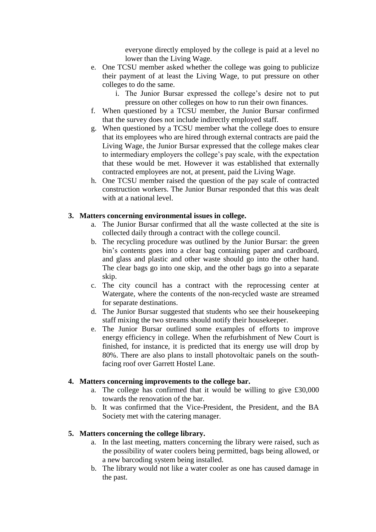everyone directly employed by the college is paid at a level no lower than the Living Wage.

- e. One TCSU member asked whether the college was going to publicize their payment of at least the Living Wage, to put pressure on other colleges to do the same.
	- i. The Junior Bursar expressed the college's desire not to put pressure on other colleges on how to run their own finances.
- f. When questioned by a TCSU member, the Junior Bursar confirmed that the survey does not include indirectly employed staff.
- g. When questioned by a TCSU member what the college does to ensure that its employees who are hired through external contracts are paid the Living Wage, the Junior Bursar expressed that the college makes clear to intermediary employers the college's pay scale, with the expectation that these would be met. However it was established that externally contracted employees are not, at present, paid the Living Wage.
- h. One TCSU member raised the question of the pay scale of contracted construction workers. The Junior Bursar responded that this was dealt with at a national level.

#### **3. Matters concerning environmental issues in college.**

- a. The Junior Bursar confirmed that all the waste collected at the site is collected daily through a contract with the college council.
- b. The recycling procedure was outlined by the Junior Bursar: the green bin's contents goes into a clear bag containing paper and cardboard, and glass and plastic and other waste should go into the other hand. The clear bags go into one skip, and the other bags go into a separate skip.
- c. The city council has a contract with the reprocessing center at Watergate, where the contents of the non-recycled waste are streamed for separate destinations.
- d. The Junior Bursar suggested that students who see their housekeeping staff mixing the two streams should notify their housekeeper.
- e. The Junior Bursar outlined some examples of efforts to improve energy efficiency in college. When the refurbishment of New Court is finished, for instance, it is predicted that its energy use will drop by 80%. There are also plans to install photovoltaic panels on the southfacing roof over Garrett Hostel Lane.

#### **4. Matters concerning improvements to the college bar.**

- a. The college has confirmed that it would be willing to give £30,000 towards the renovation of the bar.
- b. It was confirmed that the Vice-President, the President, and the BA Society met with the catering manager.

### **5. Matters concerning the college library.**

- a. In the last meeting, matters concerning the library were raised, such as the possibility of water coolers being permitted, bags being allowed, or a new barcoding system being installed.
- b. The library would not like a water cooler as one has caused damage in the past.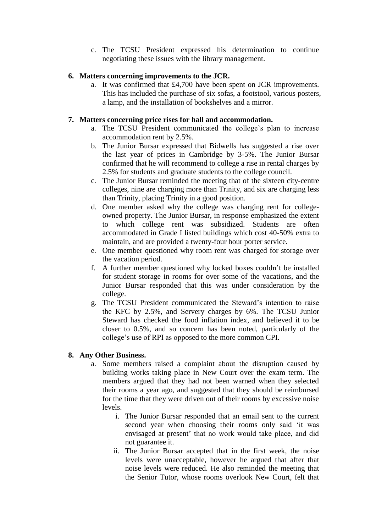c. The TCSU President expressed his determination to continue negotiating these issues with the library management.

### **6. Matters concerning improvements to the JCR.**

a. It was confirmed that £4,700 have been spent on JCR improvements. This has included the purchase of six sofas, a footstool, various posters, a lamp, and the installation of bookshelves and a mirror.

### **7. Matters concerning price rises for hall and accommodation.**

- a. The TCSU President communicated the college's plan to increase accommodation rent by 2.5%.
- b. The Junior Bursar expressed that Bidwells has suggested a rise over the last year of prices in Cambridge by 3-5%. The Junior Bursar confirmed that he will recommend to college a rise in rental charges by 2.5% for students and graduate students to the college council.
- c. The Junior Bursar reminded the meeting that of the sixteen city-centre colleges, nine are charging more than Trinity, and six are charging less than Trinity, placing Trinity in a good position.
- d. One member asked why the college was charging rent for collegeowned property. The Junior Bursar, in response emphasized the extent to which college rent was subsidized. Students are often accommodated in Grade I listed buildings which cost 40-50% extra to maintain, and are provided a twenty-four hour porter service.
- e. One member questioned why room rent was charged for storage over the vacation period.
- f. A further member questioned why locked boxes couldn't be installed for student storage in rooms for over some of the vacations, and the Junior Bursar responded that this was under consideration by the college.
- g. The TCSU President communicated the Steward's intention to raise the KFC by 2.5%, and Servery charges by 6%. The TCSU Junior Steward has checked the food inflation index, and believed it to be closer to 0.5%, and so concern has been noted, particularly of the college's use of RPI as opposed to the more common CPI.

#### **8. Any Other Business.**

- a. Some members raised a complaint about the disruption caused by building works taking place in New Court over the exam term. The members argued that they had not been warned when they selected their rooms a year ago, and suggested that they should be reimbursed for the time that they were driven out of their rooms by excessive noise levels.
	- i. The Junior Bursar responded that an email sent to the current second year when choosing their rooms only said 'it was envisaged at present' that no work would take place, and did not guarantee it.
	- ii. The Junior Bursar accepted that in the first week, the noise levels were unacceptable, however he argued that after that noise levels were reduced. He also reminded the meeting that the Senior Tutor, whose rooms overlook New Court, felt that